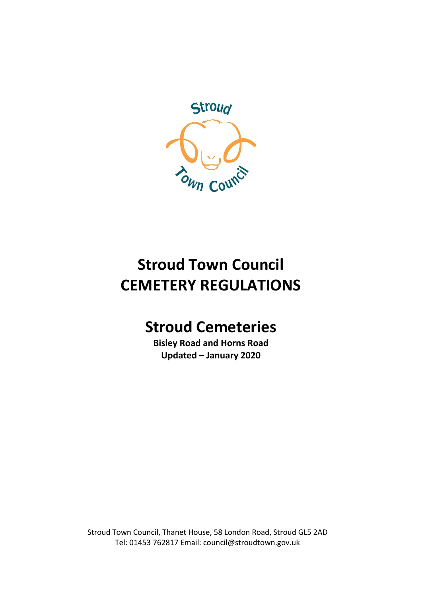

# **Stroud Town Council CEMETERY REGULATIONS**

## **Stroud Cemeteries**

**Bisley Road and Horns Road Updated – January 2020**

Stroud Town Council, Thanet House, 58 London Road, Stroud GL5 2AD Tel: 01453 762817 Email: council@stroudtown.gov.uk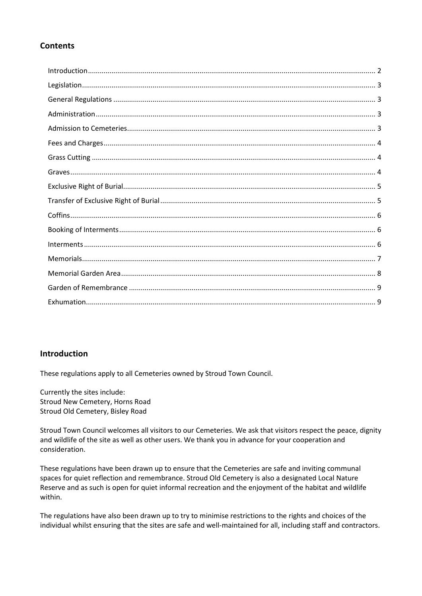## **Contents**

## <span id="page-1-0"></span>**Introduction**

These regulations apply to all Cemeteries owned by Stroud Town Council.

Currently the sites include: Stroud New Cemetery, Horns Road Stroud Old Cemetery, Bisley Road

Stroud Town Council welcomes all visitors to our Cemeteries. We ask that visitors respect the peace, dignity and wildlife of the site as well as other users. We thank you in advance for your cooperation and consideration.

These regulations have been drawn up to ensure that the Cemeteries are safe and inviting communal spaces for quiet reflection and remembrance. Stroud Old Cemetery is also a designated Local Nature Reserve and as such is open for quiet informal recreation and the enjoyment of the habitat and wildlife within.

The regulations have also been drawn up to try to minimise restrictions to the rights and choices of the individual whilst ensuring that the sites are safe and well-maintained for all, including staff and contractors.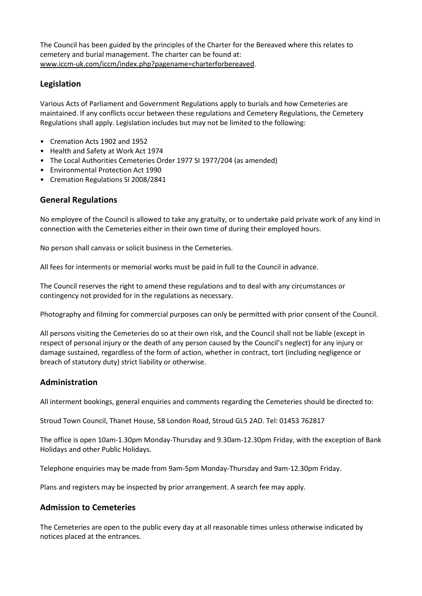The Council has been guided by the principles of the Charter for the Bereaved where this relates to cemetery and burial management. The charter can be found at[:](http://www.iccm-uk.com/iccm/index.php?pagename=charterforbereaved) [www.iccm-uk.com/iccm/index.php?pagename=charterforbereaved.](http://www.iccm-uk.com/iccm/index.php?pagename=charterforbereaved)

## <span id="page-2-0"></span>**Legislation**

Various Acts of Parliament and Government Regulations apply to burials and how Cemeteries are maintained. If any conflicts occur between these regulations and Cemetery Regulations, the Cemetery Regulations shall apply. Legislation includes but may not be limited to the following:

- Cremation Acts 1902 and 1952
- Health and Safety at Work Act 1974
- The Local Authorities Cemeteries Order 1977 SI 1977/204 (as amended)
- Environmental Protection Act 1990
- Cremation Regulations SI 2008/2841

#### <span id="page-2-1"></span>**General Regulations**

No employee of the Council is allowed to take any gratuity, or to undertake paid private work of any kind in connection with the Cemeteries either in their own time of during their employed hours.

No person shall canvass or solicit business in the Cemeteries.

All fees for interments or memorial works must be paid in full to the Council in advance.

The Council reserves the right to amend these regulations and to deal with any circumstances or contingency not provided for in the regulations as necessary.

Photography and filming for commercial purposes can only be permitted with prior consent of the Council.

All persons visiting the Cemeteries do so at their own risk, and the Council shall not be liable (except in respect of personal injury or the death of any person caused by the Council's neglect) for any injury or damage sustained, regardless of the form of action, whether in contract, tort (including negligence or breach of statutory duty) strict liability or otherwise.

#### <span id="page-2-2"></span>**Administration**

All interment bookings, general enquiries and comments regarding the Cemeteries should be directed to:

Stroud Town Council, Thanet House, 58 London Road, Stroud GL5 2AD. Tel: 01453 762817

The office is open 10am-1.30pm Monday-Thursday and 9.30am-12.30pm Friday, with the exception of Bank Holidays and other Public Holidays.

Telephone enquiries may be made from 9am-5pm Monday-Thursday and 9am-12.30pm Friday.

Plans and registers may be inspected by prior arrangement. A search fee may apply.

#### <span id="page-2-3"></span>**Admission to Cemeteries**

The Cemeteries are open to the public every day at all reasonable times unless otherwise indicated by notices placed at the entrances.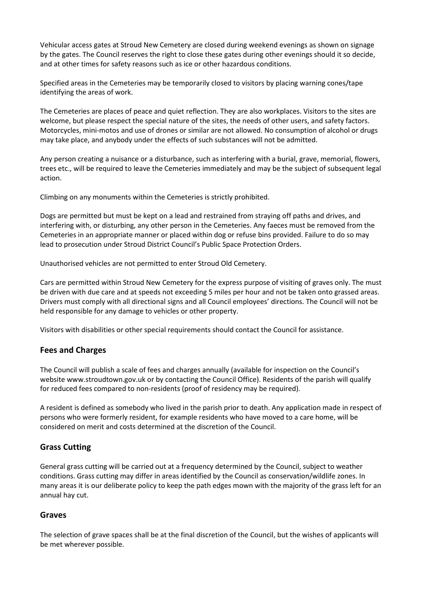Vehicular access gates at Stroud New Cemetery are closed during weekend evenings as shown on signage by the gates. The Council reserves the right to close these gates during other evenings should it so decide, and at other times for safety reasons such as ice or other hazardous conditions.

Specified areas in the Cemeteries may be temporarily closed to visitors by placing warning cones/tape identifying the areas of work.

The Cemeteries are places of peace and quiet reflection. They are also workplaces. Visitors to the sites are welcome, but please respect the special nature of the sites, the needs of other users, and safety factors. Motorcycles, mini-motos and use of drones or similar are not allowed. No consumption of alcohol or drugs may take place, and anybody under the effects of such substances will not be admitted.

Any person creating a nuisance or a disturbance, such as interfering with a burial, grave, memorial, flowers, trees etc., will be required to leave the Cemeteries immediately and may be the subject of subsequent legal action.

Climbing on any monuments within the Cemeteries is strictly prohibited.

Dogs are permitted but must be kept on a lead and restrained from straying off paths and drives, and interfering with, or disturbing, any other person in the Cemeteries. Any faeces must be removed from the Cemeteries in an appropriate manner or placed within dog or refuse bins provided. Failure to do so may lead to prosecution under Stroud District Council's Public Space Protection Orders.

Unauthorised vehicles are not permitted to enter Stroud Old Cemetery.

Cars are permitted within Stroud New Cemetery for the express purpose of visiting of graves only. The must be driven with due care and at speeds not exceeding 5 miles per hour and not be taken onto grassed areas. Drivers must comply with all directional signs and all Council employees' directions. The Council will not be held responsible for any damage to vehicles or other property.

Visitors with disabilities or other special requirements should contact the Council for assistance.

## <span id="page-3-0"></span>**Fees and Charges**

The Council will publish a scale of fees and charges annually (available for inspection on the Council's website www.stroudtown.gov.uk or by contacting the Council Office). Residents of the parish will qualify for reduced fees compared to non-residents (proof of residency may be required).

A resident is defined as somebody who lived in the parish prior to death. Any application made in respect of persons who were formerly resident, for example residents who have moved to a care home, will be considered on merit and costs determined at the discretion of the Council.

## <span id="page-3-1"></span>**Grass Cutting**

General grass cutting will be carried out at a frequency determined by the Council, subject to weather conditions. Grass cutting may differ in areas identified by the Council as conservation/wildlife zones. In many areas it is our deliberate policy to keep the path edges mown with the majority of the grass left for an annual hay cut.

#### <span id="page-3-2"></span>**Graves**

The selection of grave spaces shall be at the final discretion of the Council, but the wishes of applicants will be met wherever possible.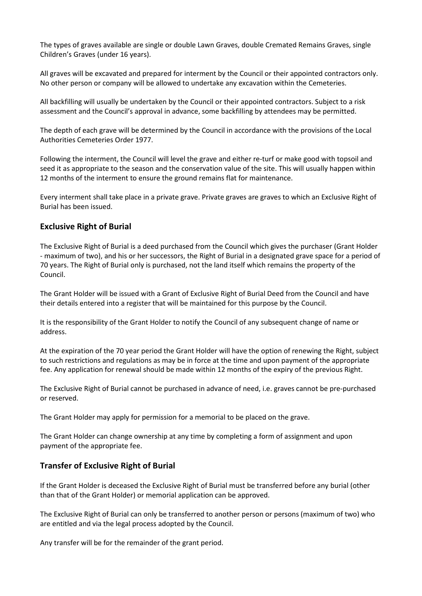The types of graves available are single or double Lawn Graves, double Cremated Remains Graves, single Children's Graves (under 16 years).

All graves will be excavated and prepared for interment by the Council or their appointed contractors only. No other person or company will be allowed to undertake any excavation within the Cemeteries.

All backfilling will usually be undertaken by the Council or their appointed contractors. Subject to a risk assessment and the Council's approval in advance, some backfilling by attendees may be permitted.

The depth of each grave will be determined by the Council in accordance with the provisions of the Local Authorities Cemeteries Order 1977.

Following the interment, the Council will level the grave and either re-turf or make good with topsoil and seed it as appropriate to the season and the conservation value of the site. This will usually happen within 12 months of the interment to ensure the ground remains flat for maintenance.

Every interment shall take place in a private grave. Private graves are graves to which an Exclusive Right of Burial has been issued.

#### <span id="page-4-0"></span>**Exclusive Right of Burial**

The Exclusive Right of Burial is a deed purchased from the Council which gives the purchaser (Grant Holder - maximum of two), and his or her successors, the Right of Burial in a designated grave space for a period of 70 years. The Right of Burial only is purchased, not the land itself which remains the property of the Council.

The Grant Holder will be issued with a Grant of Exclusive Right of Burial Deed from the Council and have their details entered into a register that will be maintained for this purpose by the Council.

It is the responsibility of the Grant Holder to notify the Council of any subsequent change of name or address.

At the expiration of the 70 year period the Grant Holder will have the option of renewing the Right, subject to such restrictions and regulations as may be in force at the time and upon payment of the appropriate fee. Any application for renewal should be made within 12 months of the expiry of the previous Right.

The Exclusive Right of Burial cannot be purchased in advance of need, i.e. graves cannot be pre-purchased or reserved.

The Grant Holder may apply for permission for a memorial to be placed on the grave.

The Grant Holder can change ownership at any time by completing a form of assignment and upon payment of the appropriate fee.

#### <span id="page-4-1"></span>**Transfer of Exclusive Right of Burial**

If the Grant Holder is deceased the Exclusive Right of Burial must be transferred before any burial (other than that of the Grant Holder) or memorial application can be approved.

The Exclusive Right of Burial can only be transferred to another person or persons (maximum of two) who are entitled and via the legal process adopted by the Council.

Any transfer will be for the remainder of the grant period.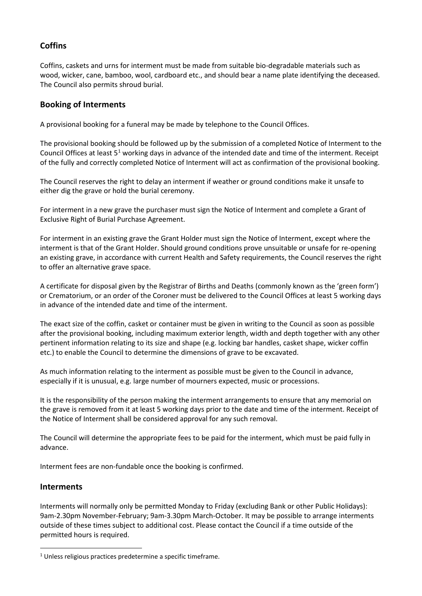## <span id="page-5-0"></span>**Coffins**

Coffins, caskets and urns for interment must be made from suitable bio-degradable materials such as wood, wicker, cane, bamboo, wool, cardboard etc., and should bear a name plate identifying the deceased. The Council also permits shroud burial.

### <span id="page-5-1"></span>**Booking of Interments**

A provisional booking for a funeral may be made by telephone to the Council Offices.

The provisional booking should be followed up by the submission of a completed Notice of Interment to the Council Offices at least  $5<sup>1</sup>$  $5<sup>1</sup>$  $5<sup>1</sup>$  working days in advance of the intended date and time of the interment. Receipt of the fully and correctly completed Notice of Interment will act as confirmation of the provisional booking.

The Council reserves the right to delay an interment if weather or ground conditions make it unsafe to either dig the grave or hold the burial ceremony.

For interment in a new grave the purchaser must sign the Notice of Interment and complete a Grant of Exclusive Right of Burial Purchase Agreement.

For interment in an existing grave the Grant Holder must sign the Notice of Interment, except where the interment is that of the Grant Holder. Should ground conditions prove unsuitable or unsafe for re-opening an existing grave, in accordance with current Health and Safety requirements, the Council reserves the right to offer an alternative grave space.

A certificate for disposal given by the Registrar of Births and Deaths (commonly known as the 'green form') or Crematorium, or an order of the Coroner must be delivered to the Council Offices at least 5 working days in advance of the intended date and time of the interment.

The exact size of the coffin, casket or container must be given in writing to the Council as soon as possible after the provisional booking, including maximum exterior length, width and depth together with any other pertinent information relating to its size and shape (e.g. locking bar handles, casket shape, wicker coffin etc.) to enable the Council to determine the dimensions of grave to be excavated.

As much information relating to the interment as possible must be given to the Council in advance, especially if it is unusual, e.g. large number of mourners expected, music or processions.

It is the responsibility of the person making the interment arrangements to ensure that any memorial on the grave is removed from it at least 5 working days prior to the date and time of the interment. Receipt of the Notice of Interment shall be considered approval for any such removal.

The Council will determine the appropriate fees to be paid for the interment, which must be paid fully in advance.

Interment fees are non-fundable once the booking is confirmed.

#### <span id="page-5-2"></span>**Interments**

Interments will normally only be permitted Monday to Friday (excluding Bank or other Public Holidays): 9am-2.30pm November-February; 9am-3.30pm March-October. It may be possible to arrange interments outside of these times subject to additional cost. Please contact the Council if a time outside of the permitted hours is required.

<span id="page-5-3"></span><sup>&</sup>lt;sup>1</sup> Unless religious practices predetermine a specific timeframe.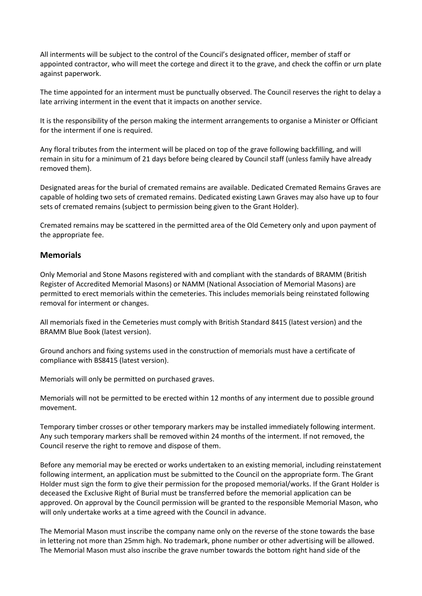All interments will be subject to the control of the Council's designated officer, member of staff or appointed contractor, who will meet the cortege and direct it to the grave, and check the coffin or urn plate against paperwork.

The time appointed for an interment must be punctually observed. The Council reserves the right to delay a late arriving interment in the event that it impacts on another service.

It is the responsibility of the person making the interment arrangements to organise a Minister or Officiant for the interment if one is required.

Any floral tributes from the interment will be placed on top of the grave following backfilling, and will remain in situ for a minimum of 21 days before being cleared by Council staff (unless family have already removed them).

Designated areas for the burial of cremated remains are available. Dedicated Cremated Remains Graves are capable of holding two sets of cremated remains. Dedicated existing Lawn Graves may also have up to four sets of cremated remains (subject to permission being given to the Grant Holder).

Cremated remains may be scattered in the permitted area of the Old Cemetery only and upon payment of the appropriate fee.

#### <span id="page-6-0"></span>**Memorials**

Only Memorial and Stone Masons registered with and compliant with the standards of BRAMM (British Register of Accredited Memorial Masons) or NAMM (National Association of Memorial Masons) are permitted to erect memorials within the cemeteries. This includes memorials being reinstated following removal for interment or changes.

All memorials fixed in the Cemeteries must comply with British Standard 8415 (latest version) and the BRAMM Blue Book (latest version).

Ground anchors and fixing systems used in the construction of memorials must have a certificate of compliance with BS8415 (latest version).

Memorials will only be permitted on purchased graves.

Memorials will not be permitted to be erected within 12 months of any interment due to possible ground movement.

Temporary timber crosses or other temporary markers may be installed immediately following interment. Any such temporary markers shall be removed within 24 months of the interment. If not removed, the Council reserve the right to remove and dispose of them.

Before any memorial may be erected or works undertaken to an existing memorial, including reinstatement following interment, an application must be submitted to the Council on the appropriate form. The Grant Holder must sign the form to give their permission for the proposed memorial/works. If the Grant Holder is deceased the Exclusive Right of Burial must be transferred before the memorial application can be approved. On approval by the Council permission will be granted to the responsible Memorial Mason, who will only undertake works at a time agreed with the Council in advance.

The Memorial Mason must inscribe the company name only on the reverse of the stone towards the base in lettering not more than 25mm high. No trademark, phone number or other advertising will be allowed. The Memorial Mason must also inscribe the grave number towards the bottom right hand side of the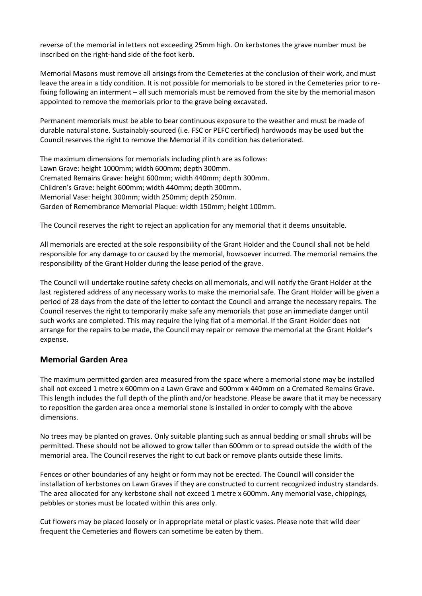reverse of the memorial in letters not exceeding 25mm high. On kerbstones the grave number must be inscribed on the right-hand side of the foot kerb.

Memorial Masons must remove all arisings from the Cemeteries at the conclusion of their work, and must leave the area in a tidy condition. It is not possible for memorials to be stored in the Cemeteries prior to refixing following an interment – all such memorials must be removed from the site by the memorial mason appointed to remove the memorials prior to the grave being excavated.

Permanent memorials must be able to bear continuous exposure to the weather and must be made of durable natural stone. Sustainably-sourced (i.e. FSC or PEFC certified) hardwoods may be used but the Council reserves the right to remove the Memorial if its condition has deteriorated.

The maximum dimensions for memorials including plinth are as follows: Lawn Grave: height 1000mm; width 600mm; depth 300mm. Cremated Remains Grave: height 600mm; width 440mm; depth 300mm. Children's Grave: height 600mm; width 440mm; depth 300mm. Memorial Vase: height 300mm; width 250mm; depth 250mm. Garden of Remembrance Memorial Plaque: width 150mm; height 100mm.

The Council reserves the right to reject an application for any memorial that it deems unsuitable.

All memorials are erected at the sole responsibility of the Grant Holder and the Council shall not be held responsible for any damage to or caused by the memorial, howsoever incurred. The memorial remains the responsibility of the Grant Holder during the lease period of the grave.

The Council will undertake routine safety checks on all memorials, and will notify the Grant Holder at the last registered address of any necessary works to make the memorial safe. The Grant Holder will be given a period of 28 days from the date of the letter to contact the Council and arrange the necessary repairs. The Council reserves the right to temporarily make safe any memorials that pose an immediate danger until such works are completed. This may require the lying flat of a memorial. If the Grant Holder does not arrange for the repairs to be made, the Council may repair or remove the memorial at the Grant Holder's expense.

## <span id="page-7-0"></span>**Memorial Garden Area**

The maximum permitted garden area measured from the space where a memorial stone may be installed shall not exceed 1 metre x 600mm on a Lawn Grave and 600mm x 440mm on a Cremated Remains Grave. This length includes the full depth of the plinth and/or headstone. Please be aware that it may be necessary to reposition the garden area once a memorial stone is installed in order to comply with the above dimensions.

No trees may be planted on graves. Only suitable planting such as annual bedding or small shrubs will be permitted. These should not be allowed to grow taller than 600mm or to spread outside the width of the memorial area. The Council reserves the right to cut back or remove plants outside these limits.

Fences or other boundaries of any height or form may not be erected. The Council will consider the installation of kerbstones on Lawn Graves if they are constructed to current recognized industry standards. The area allocated for any kerbstone shall not exceed 1 metre x 600mm. Any memorial vase, chippings, pebbles or stones must be located within this area only.

Cut flowers may be placed loosely or in appropriate metal or plastic vases. Please note that wild deer frequent the Cemeteries and flowers can sometime be eaten by them.